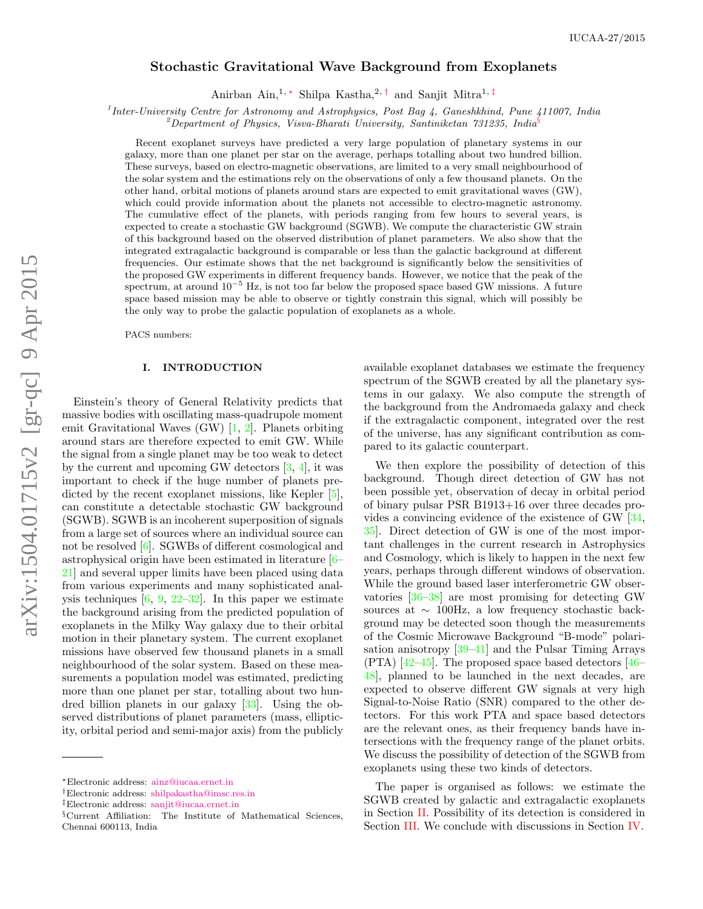# Stochastic Gravitational Wave Background from Exoplanets

Anirban Ain,<sup>1, [∗](#page-0-0)</sup> Shilpa Kastha,<sup>2,[†](#page-0-1)</sup> and Sanjit Mitra<sup>1,[‡](#page-0-2)</sup>

<sup>1</sup> Inter-University Centre for Astronomy and Astrophysics, Post Bag 4, Ganeshkhind, Pune 411007, India

<sup>2</sup>Department of Physics, Visva-Bharati University, Santiniketan  $731235$ , India<sup>[§](#page-0-3)</sup>

Recent exoplanet surveys have predicted a very large population of planetary systems in our galaxy, more than one planet per star on the average, perhaps totalling about two hundred billion. These surveys, based on electro-magnetic observations, are limited to a very small neighbourhood of the solar system and the estimations rely on the observations of only a few thousand planets. On the other hand, orbital motions of planets around stars are expected to emit gravitational waves (GW), which could provide information about the planets not accessible to electro-magnetic astronomy. The cumulative effect of the planets, with periods ranging from few hours to several years, is expected to create a stochastic GW background (SGWB). We compute the characteristic GW strain of this background based on the observed distribution of planet parameters. We also show that the integrated extragalactic background is comparable or less than the galactic background at different frequencies. Our estimate shows that the net background is significantly below the sensitivities of the proposed GW experiments in different frequency bands. However, we notice that the peak of the spectrum, at around  $10^{-5}$  Hz, is not too far below the proposed space based GW missions. A future space based mission may be able to observe or tightly constrain this signal, which will possibly be the only way to probe the galactic population of exoplanets as a whole.

PACS numbers:

### <span id="page-0-4"></span>I. INTRODUCTION

Einstein's theory of General Relativity predicts that massive bodies with oscillating mass-quadrupole moment emit Gravitational Waves (GW) [\[1,](#page-5-0) [2\]](#page-5-1). Planets orbiting around stars are therefore expected to emit GW. While the signal from a single planet may be too weak to detect by the current and upcoming GW detectors  $[3, 4]$  $[3, 4]$  $[3, 4]$ , it was important to check if the huge number of planets pre-dicted by the recent exoplanet missions, like Kepler [\[5\]](#page-5-4), can constitute a detectable stochastic GW background (SGWB). SGWB is an incoherent superposition of signals from a large set of sources where an individual source can not be resolved [\[6\]](#page-5-5). SGWBs of different cosmological and astrophysical origin have been estimated in literature [\[6–](#page-5-5) [21\]](#page-5-6) and several upper limits have been placed using data from various experiments and many sophisticated analysis techniques  $[6, 9, 22-32]$  $[6, 9, 22-32]$  $[6, 9, 22-32]$  $[6, 9, 22-32]$  $[6, 9, 22-32]$ . In this paper we estimate the background arising from the predicted population of exoplanets in the Milky Way galaxy due to their orbital motion in their planetary system. The current exoplanet missions have observed few thousand planets in a small neighbourhood of the solar system. Based on these measurements a population model was estimated, predicting more than one planet per star, totalling about two hundred billion planets in our galaxy [\[33\]](#page-5-10). Using the observed distributions of planet parameters (mass, ellipticity, orbital period and semi-major axis) from the publicly

available exoplanet databases we estimate the frequency spectrum of the SGWB created by all the planetary systems in our galaxy. We also compute the strength of the background from the Andromaeda galaxy and check if the extragalactic component, integrated over the rest of the universe, has any significant contribution as compared to its galactic counterpart.

We then explore the possibility of detection of this background. Though direct detection of GW has not been possible yet, observation of decay in orbital period of binary pulsar PSR B1913+16 over three decades provides a convincing evidence of the existence of GW [\[34,](#page-5-11) [35\]](#page-5-12). Direct detection of GW is one of the most important challenges in the current research in Astrophysics and Cosmology, which is likely to happen in the next few years, perhaps through different windows of observation. While the ground based laser interferometric GW observatories [\[36](#page-5-13)[–38\]](#page-5-14) are most promising for detecting GW sources at ∼ 100Hz, a low frequency stochastic background may be detected soon though the measurements of the Cosmic Microwave Background "B-mode" polarisation anisotropy [\[39](#page-5-15)[–41\]](#page-5-16) and the Pulsar Timing Arrays  $(PTA)$  [\[42](#page-5-17)[–45\]](#page-6-0). The proposed space based detectors [\[46–](#page-6-1) [48\]](#page-6-2), planned to be launched in the next decades, are expected to observe different GW signals at very high Signal-to-Noise Ratio (SNR) compared to the other detectors. For this work PTA and space based detectors are the relevant ones, as their frequency bands have intersections with the frequency range of the planet orbits. We discuss the possibility of detection of the SGWB from exoplanets using these two kinds of detectors.

The paper is organised as follows: we estimate the SGWB created by galactic and extragalactic exoplanets in Section [II.](#page-1-0) Possibility of its detection is considered in Section [III.](#page-4-0) We conclude with discussions in Section [IV.](#page-4-1)

<span id="page-0-0"></span><sup>∗</sup>Electronic address: [ainz@iucaa.ernet.in](mailto:ainz@iucaa.ernet.in)

<span id="page-0-1"></span><sup>†</sup>Electronic address: [shilpakastha@imsc.res.in](mailto:shilpakastha@imsc.res.in)

<span id="page-0-2"></span><sup>‡</sup>Electronic address: [sanjit@iucaa.ernet.in](mailto:sanjit@iucaa.ernet.in)

<span id="page-0-3"></span><sup>§</sup>Current Affiliation: The Institute of Mathematical Sciences, Chennai 600113, India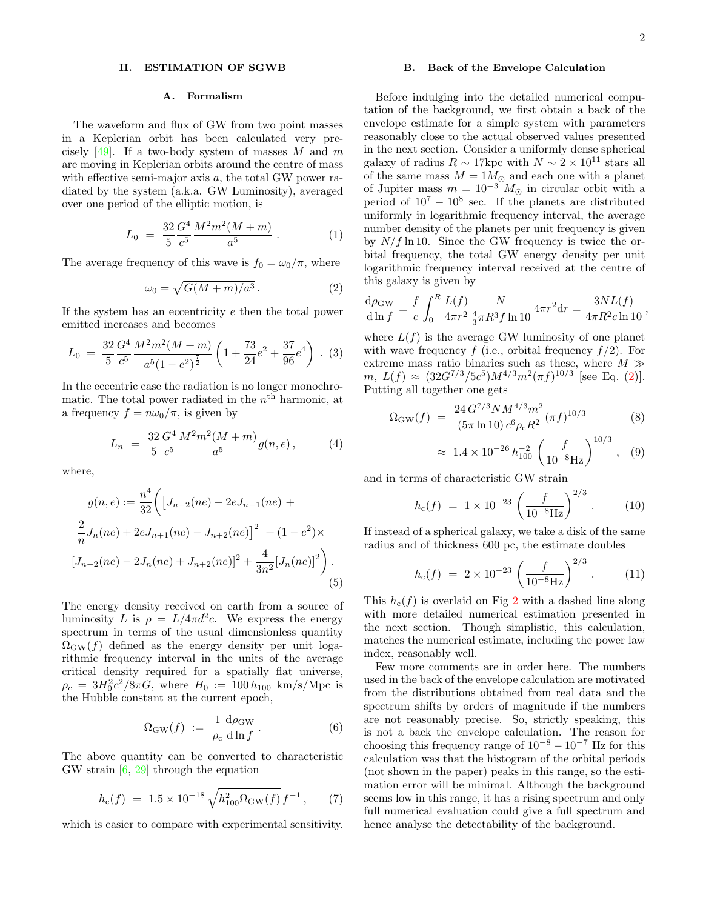### <span id="page-1-0"></span>II. ESTIMATION OF SGWB

### <span id="page-1-5"></span>A. Formalism

The waveform and flux of GW from two point masses in a Keplerian orbit has been calculated very precisely  $[49]$ . If a two-body system of masses M and m are moving in Keplerian orbits around the centre of mass with effective semi-major axis a, the total GW power radiated by the system (a.k.a. GW Luminosity), averaged over one period of the elliptic motion, is

$$
L_0 = \frac{32}{5} \frac{G^4}{c^5} \frac{M^2 m^2 (M+m)}{a^5} \,. \tag{1}
$$

The average frequency of this wave is  $f_0 = \omega_0/\pi$ , where

<span id="page-1-1"></span>
$$
\omega_0 = \sqrt{G(M+m)/a^3} \,. \tag{2}
$$

If the system has an eccentricity e then the total power emitted increases and becomes

$$
L_0 = \frac{32}{5} \frac{G^4}{c^5} \frac{M^2 m^2 (M+m)}{a^5 (1-e^2)^{\frac{7}{2}}} \left(1 + \frac{73}{24} e^2 + \frac{37}{96} e^4\right) . (3)
$$

In the eccentric case the radiation is no longer monochromatic. The total power radiated in the  $n<sup>th</sup>$  harmonic, at a frequency  $f = n\omega_0/\pi$ , is given by

<span id="page-1-2"></span>
$$
L_n = \frac{32}{5} \frac{G^4}{c^5} \frac{M^2 m^2 (M+m)}{a^5} g(n, e), \tag{4}
$$

where,

$$
g(n,e) := \frac{n^4}{32} \bigg( \left[ J_{n-2}(ne) - 2eJ_{n-1}(ne) + \frac{2}{n} J_n(ne) + 2eJ_{n+1}(ne) - J_{n+2}(ne) \right]^2 + (1 - e^2) \times
$$
  

$$
\left[ J_{n-2}(ne) - 2J_n(ne) + J_{n+2}(ne) \right]^2 + \frac{4}{3n^2} \left[ J_n(ne) \right]^2 \bigg).
$$
  
(5)

The energy density received on earth from a source of luminosity L is  $\rho = L/4\pi d^2c$ . We express the energy spectrum in terms of the usual dimensionless quantity  $\Omega_{\rm GW}(f)$  defined as the energy density per unit logarithmic frequency interval in the units of the average critical density required for a spatially flat universe,  $\rho_c = 3H_0^2c^2/8\pi G$ , where  $H_0 := 100 h_{100}$  km/s/Mpc is the Hubble constant at the current epoch,

<span id="page-1-4"></span>
$$
\Omega_{\text{GW}}(f) := \frac{1}{\rho_{\text{c}}} \frac{d\rho_{\text{GW}}}{d\ln f} \,. \tag{6}
$$

The above quantity can be converted to characteristic GW strain [\[6,](#page-5-5) [29\]](#page-5-18) through the equation

<span id="page-1-3"></span>
$$
h_{\rm c}(f) = 1.5 \times 10^{-18} \sqrt{h_{100}^2 \Omega_{\rm GW}(f)} f^{-1}, \qquad (7)
$$

which is easier to compare with experimental sensitivity.

### B. Back of the Envelope Calculation

Before indulging into the detailed numerical computation of the background, we first obtain a back of the envelope estimate for a simple system with parameters reasonably close to the actual observed values presented in the next section. Consider a uniformly dense spherical galaxy of radius  $R \sim 17$ kpc with  $N \sim 2 \times 10^{11}$  stars all of the same mass  $M = 1 M_{\odot}$  and each one with a planet of Jupiter mass  $m = 10^{-3} M_{\odot}$  in circular orbit with a period of  $10^7 - 10^8$  sec. If the planets are distributed uniformly in logarithmic frequency interval, the average number density of the planets per unit frequency is given by  $N/f \ln 10$ . Since the GW frequency is twice the orbital frequency, the total GW energy density per unit logarithmic frequency interval received at the centre of this galaxy is given by

$$
\frac{d\rho_{\rm GW}}{d\ln f} = \frac{f}{c} \int_0^R \frac{L(f)}{4\pi r^2} \frac{N}{\frac{4}{3}\pi R^3 f \ln 10} 4\pi r^2 dr = \frac{3NL(f)}{4\pi R^2 c \ln 10},
$$

where  $L(f)$  is the average GW luminosity of one planet with wave frequency f (i.e., orbital frequency  $f/2$ ). For extreme mass ratio binaries such as these, where  $M \gg$  $m, L(f) \approx (32G^{7/3}/5c^5)M^{4/3}m^2(\pi f)^{10/3}$  [see Eq. [\(2\)](#page-1-1)]. Putting all together one gets

$$
\Omega_{\rm GW}(f) = \frac{24 G^{7/3} N M^{4/3} m^2}{(5\pi \ln 10) c^6 \rho_c R^2} (\pi f)^{10/3}
$$
(8)

$$
\approx 1.4 \times 10^{-26} h_{100}^{-2} \left( \frac{f}{10^{-8} \text{Hz}} \right)^{10/3},
$$
 (9)

and in terms of characteristic GW strain

$$
h_c(f) = 1 \times 10^{-23} \left(\frac{f}{10^{-8} \text{Hz}}\right)^{2/3} . \tag{10}
$$

If instead of a spherical galaxy, we take a disk of the same radius and of thickness 600 pc, the estimate doubles

$$
h_c(f) = 2 \times 10^{-23} \left(\frac{f}{10^{-8} \text{Hz}}\right)^{2/3} . \tag{11}
$$

This  $h_c(f)$  is overlaid on Fig [2](#page-3-0) with a dashed line along with more detailed numerical estimation presented in the next section. Though simplistic, this calculation, matches the numerical estimate, including the power law index, reasonably well.

Few more comments are in order here. The numbers used in the back of the envelope calculation are motivated from the distributions obtained from real data and the spectrum shifts by orders of magnitude if the numbers are not reasonably precise. So, strictly speaking, this is not a back the envelope calculation. The reason for choosing this frequency range of  $10^{-8} - 10^{-7}$  Hz for this calculation was that the histogram of the orbital periods (not shown in the paper) peaks in this range, so the estimation error will be minimal. Although the background seems low in this range, it has a rising spectrum and only full numerical evaluation could give a full spectrum and hence analyse the detectability of the background.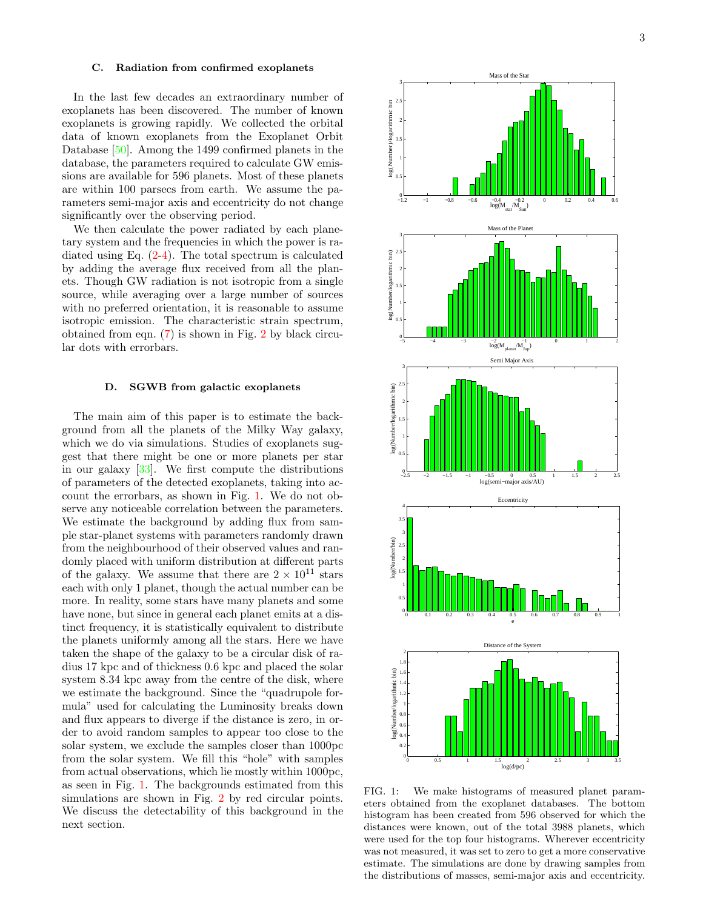# <span id="page-2-2"></span>C. Radiation from confirmed exoplanets

In the last few decades an extraordinary number of exoplanets has been discovered. The number of known exoplanets is growing rapidly. We collected the orbital data of known exoplanets from the Exoplanet Orbit Database [\[50\]](#page-6-4). Among the 1499 confirmed planets in the database, the parameters required to calculate GW emissions are available for 596 planets. Most of these planets are within 100 parsecs from earth. We assume the parameters semi-major axis and eccentricity do not change significantly over the observing period.

We then calculate the power radiated by each planetary system and the frequencies in which the power is radiated using Eq. [\(2-](#page-1-1)[4\)](#page-1-2). The total spectrum is calculated by adding the average flux received from all the planets. Though GW radiation is not isotropic from a single source, while averaging over a large number of sources with no preferred orientation, it is reasonable to assume isotropic emission. The characteristic strain spectrum, obtained from eqn. [\(7\)](#page-1-3) is shown in Fig. [2](#page-3-0) by black circular dots with errorbars.

### <span id="page-2-1"></span>D. SGWB from galactic exoplanets

The main aim of this paper is to estimate the background from all the planets of the Milky Way galaxy, which we do via simulations. Studies of exoplanets suggest that there might be one or more planets per star in our galaxy  $[33]$ . We first compute the distributions of parameters of the detected exoplanets, taking into account the errorbars, as shown in Fig. [1.](#page-2-0) We do not observe any noticeable correlation between the parameters. We estimate the background by adding flux from sample star-planet systems with parameters randomly drawn from the neighbourhood of their observed values and randomly placed with uniform distribution at different parts of the galaxy. We assume that there are  $2 \times 10^{11}$  stars each with only 1 planet, though the actual number can be more. In reality, some stars have many planets and some have none, but since in general each planet emits at a distinct frequency, it is statistically equivalent to distribute the planets uniformly among all the stars. Here we have taken the shape of the galaxy to be a circular disk of radius 17 kpc and of thickness 0.6 kpc and placed the solar system 8.34 kpc away from the centre of the disk, where we estimate the background. Since the "quadrupole formula" used for calculating the Luminosity breaks down and flux appears to diverge if the distance is zero, in order to avoid random samples to appear too close to the solar system, we exclude the samples closer than 1000pc from the solar system. We fill this "hole" with samples from actual observations, which lie mostly within 1000pc, as seen in Fig. [1.](#page-2-0) The backgrounds estimated from this simulations are shown in Fig. [2](#page-3-0) by red circular points. We discuss the detectability of this background in the next section.



<span id="page-2-0"></span>FIG. 1: We make histograms of measured planet parameters obtained from the exoplanet databases. The bottom histogram has been created from 596 observed for which the distances were known, out of the total 3988 planets, which were used for the top four histograms. Wherever eccentricity was not measured, it was set to zero to get a more conservative estimate. The simulations are done by drawing samples from the distributions of masses, semi-major axis and eccentricity.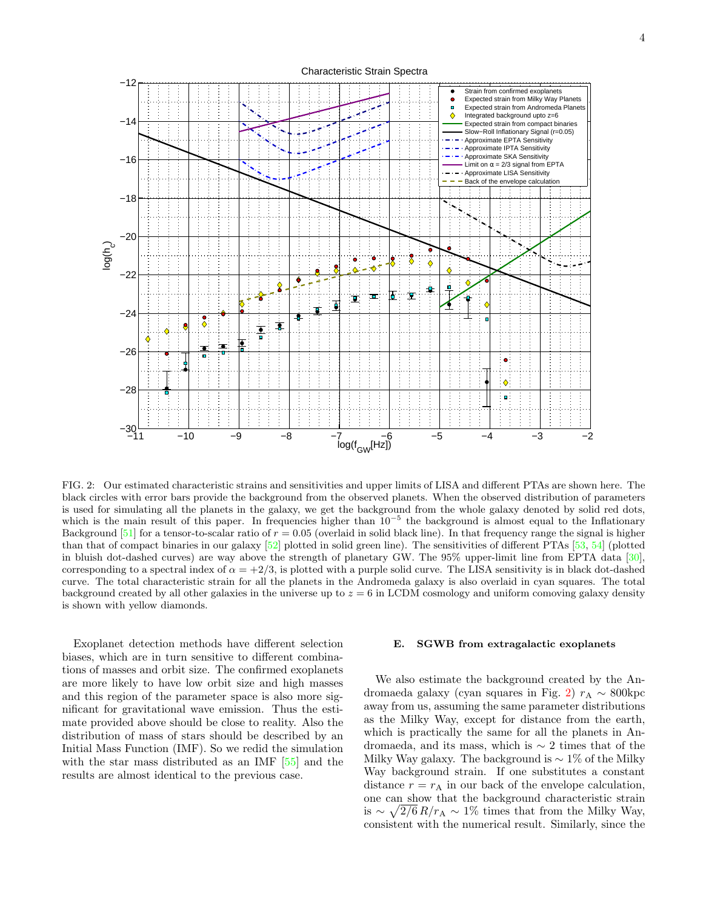

<span id="page-3-0"></span>FIG. 2: Our estimated characteristic strains and sensitivities and upper limits of LISA and different PTAs are shown here. The black circles with error bars provide the background from the observed planets. When the observed distribution of parameters is used for simulating all the planets in the galaxy, we get the background from the whole galaxy denoted by solid red dots, which is the main result of this paper. In frequencies higher than  $10^{-5}$  the background is almost equal to the Inflationary Background  $[51]$  for a tensor-to-scalar ratio of  $r = 0.05$  (overlaid in solid black line). In that frequency range the signal is higher than that of compact binaries in our galaxy [\[52\]](#page-6-6) plotted in solid green line). The sensitivities of different PTAs [\[53,](#page-6-7) [54\]](#page-6-8) (plotted in bluish dot-dashed curves) are way above the strength of planetary GW. The 95% upper-limit line from EPTA data [\[30\]](#page-5-19), corresponding to a spectral index of  $\alpha = +2/3$ , is plotted with a purple solid curve. The LISA sensitivity is in black dot-dashed curve. The total characteristic strain for all the planets in the Andromeda galaxy is also overlaid in cyan squares. The total background created by all other galaxies in the universe up to  $z = 6$  in LCDM cosmology and uniform comoving galaxy density is shown with yellow diamonds.

Exoplanet detection methods have different selection biases, which are in turn sensitive to different combinations of masses and orbit size. The confirmed exoplanets are more likely to have low orbit size and high masses and this region of the parameter space is also more significant for gravitational wave emission. Thus the estimate provided above should be close to reality. Also the distribution of mass of stars should be described by an Initial Mass Function (IMF). So we redid the simulation with the star mass distributed as an IMF [\[55\]](#page-6-9) and the results are almost identical to the previous case.

#### <span id="page-3-1"></span>E. SGWB from extragalactic exoplanets

We also estimate the background created by the An-dromaeda galaxy (cyan squares in Fig. [2\)](#page-3-0)  $r_A \sim 800 \text{kpc}$ away from us, assuming the same parameter distributions as the Milky Way, except for distance from the earth, which is practically the same for all the planets in Andromaeda, and its mass, which is ∼ 2 times that of the Milky Way galaxy. The background is  $\sim 1\%$  of the Milky Way background strain. If one substitutes a constant distance  $r = r_A$  in our back of the envelope calculation, one can show that the background characteristic strain is  $\sim \sqrt{2/6} R/r_A \sim 1\%$  times that from the Milky Way, consistent with the numerical result. Similarly, since the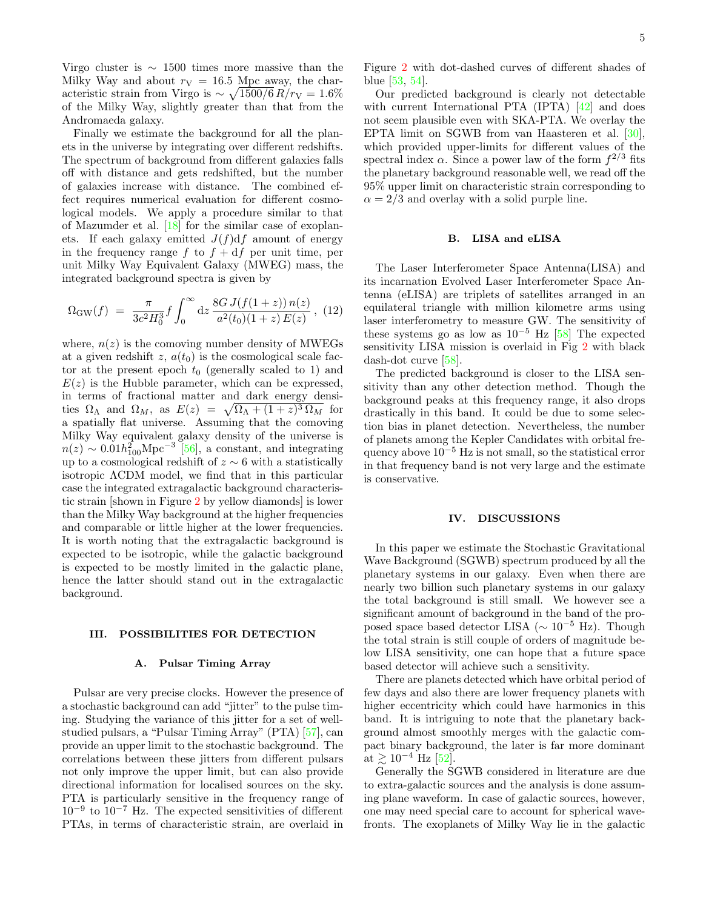Virgo cluster is  $\sim 1500$  times more massive than the Milky Way and about  $r_V = 16.5$  Mpc away, the characteristic strain from Virgo is  $\sim \sqrt{1500/6} R/r_v = 1.6\%$ of the Milky Way, slightly greater than that from the Andromaeda galaxy.

Finally we estimate the background for all the planets in the universe by integrating over different redshifts. The spectrum of background from different galaxies falls off with distance and gets redshifted, but the number of galaxies increase with distance. The combined effect requires numerical evaluation for different cosmological models. We apply a procedure similar to that of Mazumder et al. [\[18\]](#page-5-20) for the similar case of exoplanets. If each galaxy emitted  $J(f)df$  amount of energy in the frequency range f to  $f + df$  per unit time, per unit Milky Way Equivalent Galaxy (MWEG) mass, the integrated background spectra is given by

<span id="page-4-3"></span>
$$
\Omega_{\rm GW}(f) = \frac{\pi}{3c^2H_0^3} f \int_0^\infty dz \frac{8G J(f(1+z)) n(z)}{a^2(t_0)(1+z) E(z)}, \tag{12}
$$

where,  $n(z)$  is the comoving number density of MWEGs at a given redshift z,  $a(t_0)$  is the cosmological scale factor at the present epoch  $t_0$  (generally scaled to 1) and  $E(z)$  is the Hubble parameter, which can be expressed, in terms of fractional matter and dark energy densities  $\Omega_{\Lambda}$  and  $\Omega_M$ , as  $E(z) = \sqrt{\Omega_{\Lambda} + (1+z)^3 \Omega_M}$  for a spatially flat universe. Assuming that the comoving Milky Way equivalent galaxy density of the universe is  $n(z) \sim 0.01 h_{100}^2 \text{Mpc}^{-3}$  [\[56\]](#page-6-10), a constant, and integrating up to a cosmological redshift of  $z \sim 6$  with a statistically isotropic ΛCDM model, we find that in this particular case the integrated extragalactic background characteristic strain [shown in Figure [2](#page-3-0) by yellow diamonds] is lower than the Milky Way background at the higher frequencies and comparable or little higher at the lower frequencies. It is worth noting that the extragalactic background is expected to be isotropic, while the galactic background is expected to be mostly limited in the galactic plane, hence the latter should stand out in the extragalactic background.

### <span id="page-4-0"></span>III. POSSIBILITIES FOR DETECTION

#### <span id="page-4-2"></span>A. Pulsar Timing Array

Pulsar are very precise clocks. However the presence of a stochastic background can add "jitter" to the pulse timing. Studying the variance of this jitter for a set of wellstudied pulsars, a "Pulsar Timing Array" (PTA) [\[57\]](#page-6-11), can provide an upper limit to the stochastic background. The correlations between these jitters from different pulsars not only improve the upper limit, but can also provide directional information for localised sources on the sky. PTA is particularly sensitive in the frequency range of 10<sup>−</sup><sup>9</sup> to 10<sup>−</sup><sup>7</sup> Hz. The expected sensitivities of different PTAs, in terms of characteristic strain, are overlaid in Figure [2](#page-3-0) with dot-dashed curves of different shades of blue [\[53,](#page-6-7) [54\]](#page-6-8).

Our predicted background is clearly not detectable with current International PTA (IPTA)  $[42]$  and does not seem plausible even with SKA-PTA. We overlay the EPTA limit on SGWB from van Haasteren et al. [\[30\]](#page-5-19), which provided upper-limits for different values of the spectral index  $\alpha$ . Since a power law of the form  $f^{2/3}$  fits the planetary background reasonable well, we read off the 95% upper limit on characteristic strain corresponding to  $\alpha = 2/3$  and overlay with a solid purple line.

# <span id="page-4-4"></span>B. LISA and eLISA

The Laser Interferometer Space Antenna(LISA) and its incarnation Evolved Laser Interferometer Space Antenna (eLISA) are triplets of satellites arranged in an equilateral triangle with million kilometre arms using laser interferometry to measure GW. The sensitivity of these systems go as low as  $10^{-5}$  Hz [\[58\]](#page-6-12) The expected sensitivity LISA mission is overlaid in Fig [2](#page-3-0) with black dash-dot curve [\[58\]](#page-6-12).

The predicted background is closer to the LISA sensitivity than any other detection method. Though the background peaks at this frequency range, it also drops drastically in this band. It could be due to some selection bias in planet detection. Nevertheless, the number of planets among the Kepler Candidates with orbital frequency above  $10^{-5}$  Hz is not small, so the statistical error in that frequency band is not very large and the estimate is conservative.

# <span id="page-4-1"></span>IV. DISCUSSIONS

In this paper we estimate the Stochastic Gravitational Wave Background (SGWB) spectrum produced by all the planetary systems in our galaxy. Even when there are nearly two billion such planetary systems in our galaxy the total background is still small. We however see a significant amount of background in the band of the proposed space based detector LISA ( $\sim 10^{-5}$  Hz). Though the total strain is still couple of orders of magnitude below LISA sensitivity, one can hope that a future space based detector will achieve such a sensitivity.

There are planets detected which have orbital period of few days and also there are lower frequency planets with higher eccentricity which could have harmonics in this band. It is intriguing to note that the planetary background almost smoothly merges with the galactic compact binary background, the later is far more dominant at  $\geq 10^{-4}$  Hz [\[52\]](#page-6-6).

Generally the SGWB considered in literature are due to extra-galactic sources and the analysis is done assuming plane waveform. In case of galactic sources, however, one may need special care to account for spherical wavefronts. The exoplanets of Milky Way lie in the galactic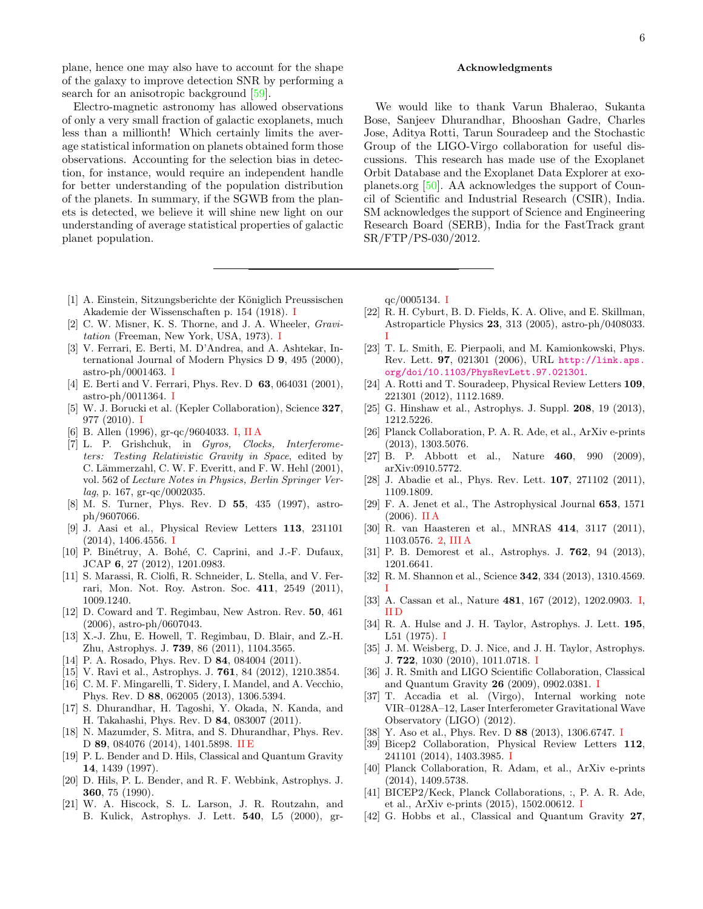plane, hence one may also have to account for the shape of the galaxy to improve detection SNR by performing a search for an anisotropic background [\[59\]](#page-6-13).

Electro-magnetic astronomy has allowed observations of only a very small fraction of galactic exoplanets, much less than a millionth! Which certainly limits the average statistical information on planets obtained form those observations. Accounting for the selection bias in detection, for instance, would require an independent handle for better understanding of the population distribution of the planets. In summary, if the SGWB from the planets is detected, we believe it will shine new light on our understanding of average statistical properties of galactic planet population.

- <span id="page-5-0"></span>[1] A. Einstein, Sitzungsberichte der Königlich Preussischen Akademie der Wissenschaften p. 154 (1918). [I](#page-0-4)
- <span id="page-5-1"></span>[2] C. W. Misner, K. S. Thorne, and J. A. Wheeler, *Gravi*tation (Freeman, New York, USA, 1973). [I](#page-0-4)
- <span id="page-5-2"></span>[3] V. Ferrari, E. Berti, M. D'Andrea, and A. Ashtekar, International Journal of Modern Physics D 9, 495 (2000), astro-ph/0001463.  $I$
- <span id="page-5-3"></span>[4] E. Berti and V. Ferrari, Phys. Rev. D 63, 064031 (2001), astro-ph/0011364. [I](#page-0-4)
- <span id="page-5-4"></span>[5] W. J. Borucki et al. (Kepler Collaboration), Science 327, 977 (2010). [I](#page-0-4)
- <span id="page-5-5"></span>[6] B. Allen (1996), gr-qc/9604033. [I,](#page-0-4) [II A](#page-1-4)
- [7] L. P. Grishchuk, in Gyros, Clocks, Interferometers: Testing Relativistic Gravity in Space, edited by C. Lämmerzahl, C. W. F. Everitt, and F. W. Hehl (2001), vol. 562 of Lecture Notes in Physics, Berlin Springer Verlag, p. 167, gr-qc/0002035.
- [8] M. S. Turner, Phys. Rev. D 55, 435 (1997), astroph/9607066.
- <span id="page-5-7"></span>[9] J. Aasi et al., Physical Review Letters 113, 231101 (2014), 1406.4556. [I](#page-0-4)
- [10] P. Binétruy, A. Bohé, C. Caprini, and J.-F. Dufaux, JCAP 6, 27 (2012), 1201.0983.
- [11] S. Marassi, R. Ciolfi, R. Schneider, L. Stella, and V. Ferrari, Mon. Not. Roy. Astron. Soc. 411, 2549 (2011), 1009.1240.
- [12] D. Coward and T. Regimbau, New Astron. Rev. 50, 461  $(2006)$ , astro-ph/0607043.
- [13] X.-J. Zhu, E. Howell, T. Regimbau, D. Blair, and Z.-H. Zhu, Astrophys. J. 739, 86 (2011), 1104.3565.
- [14] P. A. Rosado, Phys. Rev. D **84**, 084004 (2011).
- [15] V. Ravi et al., Astrophys. J. **761**, 84 (2012), 1210.3854.
- [16] C. M. F. Mingarelli, T. Sidery, I. Mandel, and A. Vecchio, Phys. Rev. D 88, 062005 (2013), 1306.5394.
- [17] S. Dhurandhar, H. Tagoshi, Y. Okada, N. Kanda, and H. Takahashi, Phys. Rev. D 84, 083007 (2011).
- <span id="page-5-20"></span>[18] N. Mazumder, S. Mitra, and S. Dhurandhar, Phys. Rev. D 89, 084076 (2014), 1401.5898. [II E](#page-3-1)
- [19] P. L. Bender and D. Hils, Classical and Quantum Gravity 14, 1439 (1997).
- [20] D. Hils, P. L. Bender, and R. F. Webbink, Astrophys. J. 360, 75 (1990).
- <span id="page-5-6"></span>[21] W. A. Hiscock, S. L. Larson, J. R. Routzahn, and B. Kulick, Astrophys. J. Lett. 540, L5 (2000), gr-

### <span id="page-5-21"></span>Acknowledgments

We would like to thank Varun Bhalerao, Sukanta Bose, Sanjeev Dhurandhar, Bhooshan Gadre, Charles Jose, Aditya Rotti, Tarun Souradeep and the Stochastic Group of the LIGO-Virgo collaboration for useful discussions. This research has made use of the Exoplanet Orbit Database and the Exoplanet Data Explorer at exoplanets.org [\[50\]](#page-6-4). AA acknowledges the support of Council of Scientific and Industrial Research (CSIR), India. SM acknowledges the support of Science and Engineering Research Board (SERB), India for the FastTrack grant SR/FTP/PS-030/2012.

qc/0005134. [I](#page-0-4)

- <span id="page-5-8"></span>[22] R. H. Cyburt, B. D. Fields, K. A. Olive, and E. Skillman, Astroparticle Physics 23, 313 (2005), astro-ph/0408033. [I](#page-0-4)
- [23] T. L. Smith, E. Pierpaoli, and M. Kamionkowski, Phys. Rev. Lett. 97, 021301 (2006), URL [http://link.aps.](http://link.aps.org/doi/10.1103/PhysRevLett.97.021301) [org/doi/10.1103/PhysRevLett.97.021301](http://link.aps.org/doi/10.1103/PhysRevLett.97.021301).
- [24] A. Rotti and T. Souradeep, Physical Review Letters 109, 221301 (2012), 1112.1689.
- [25] G. Hinshaw et al., Astrophys. J. Suppl. **208**, 19 (2013), 1212.5226.
- [26] Planck Collaboration, P. A. R. Ade, et al., ArXiv e-prints (2013), 1303.5076.
- [27] B. P. Abbott et al., Nature 460, 990 (2009), arXiv:0910.5772.
- [28] J. Abadie et al., Phys. Rev. Lett. **107**, 271102 (2011), 1109.1809.
- <span id="page-5-18"></span>[29] F. A. Jenet et al., The Astrophysical Journal 653, 1571 (2006). [II A](#page-1-4)
- <span id="page-5-19"></span>[30] R. van Haasteren et al., MNRAS 414, 3117 (2011), 1103.0576. [2,](#page-3-0) [III A](#page-4-2)
- [31] P. B. Demorest et al., Astrophys. J. **762**, 94 (2013), 1201.6641.
- <span id="page-5-9"></span>[32] R. M. Shannon et al., Science **342**, 334 (2013), 1310.4569. [I](#page-0-4)
- <span id="page-5-10"></span>[33] A. Cassan et al., Nature 481, 167 (2012), 1202.0903. [I,](#page-0-4) [II D](#page-2-1)
- <span id="page-5-11"></span>[34] R. A. Hulse and J. H. Taylor, Astrophys. J. Lett. **195**, L51 (1975). [I](#page-0-4)
- <span id="page-5-12"></span>[35] J. M. Weisberg, D. J. Nice, and J. H. Taylor, Astrophys. J. 722, 1030 (2010), 1011.0718. [I](#page-0-4)
- <span id="page-5-13"></span>[36] J. R. Smith and LIGO Scientific Collaboration, Classical and Quantum Gravity 26 (2009), 0902.0381. [I](#page-0-4)
- [37] T. Accadia et al. (Virgo), Internal working note VIR–0128A–12, Laser Interferometer Gravitational Wave Observatory (LIGO) (2012).
- <span id="page-5-14"></span>[38] Y. Aso et al., Phys. Rev. D 88 (2013), 1306.6747. [I](#page-0-4)
- <span id="page-5-15"></span>[39] Bicep2 Collaboration, Physical Review Letters 112, 241101 (2014), 1403.3985. [I](#page-0-4)
- [40] Planck Collaboration, R. Adam, et al., ArXiv e-prints (2014), 1409.5738.
- <span id="page-5-16"></span>[41] BICEP2/Keck, Planck Collaborations, :, P. A. R. Ade, et al., ArXiv e-prints (2015), 1502.00612. [I](#page-0-4)
- <span id="page-5-17"></span>[42] G. Hobbs et al., Classical and Quantum Gravity 27,